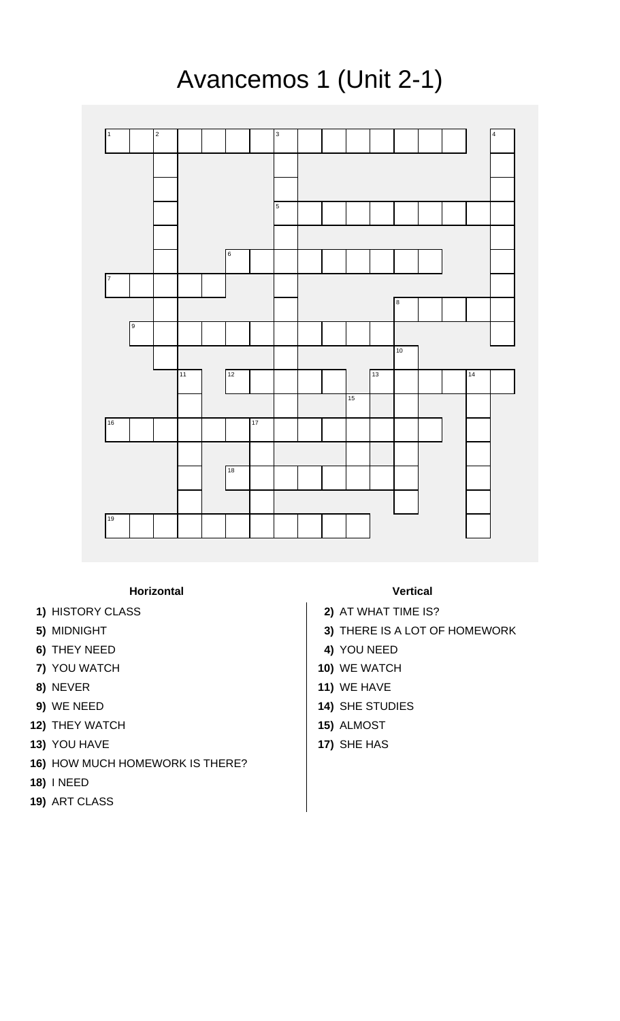## Avancemos 1 (Unit 2-1)



## **Horizontal Vertical**

- 
- 
- **6)** THEY NEED **4)** YOU NEED
- **7)** YOU WATCH **10)** WE WATCH
- 
- 
- **12)** THEY WATCH **15)** ALMOST
- **13)** YOU HAVE **17)** SHE HAS
- **16)** HOW MUCH HOMEWORK IS THERE?
- **18)** I NEED
- **19)** ART CLASS

- **1)** HISTORY CLASS **2)** AT WHAT TIME IS?
- **5)** MIDNIGHT **3)** THERE IS A LOT OF HOMEWORK
	-
	-
- **8)** NEVER **11)** WE HAVE
- **9)** WE NEED **14)** SHE STUDIES
	-
	-